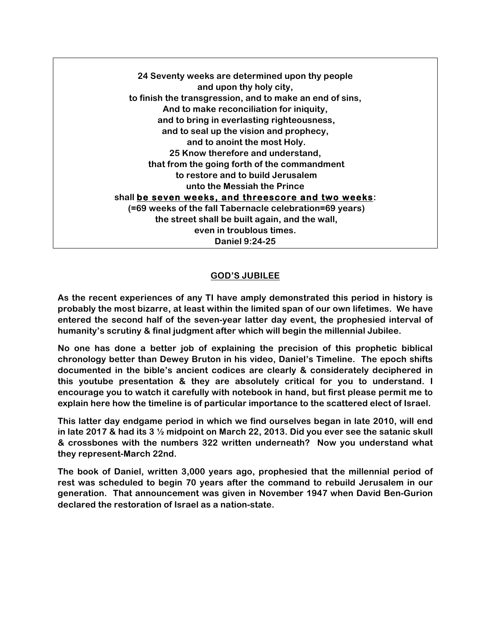**24 Seventy weeks are determined upon thy people and upon thy holy city, to finish the transgression, and to make an end of sins, And to make reconciliation for iniquity, and to bring in everlasting righteousness, and to seal up the vision and prophecy, and to anoint the most Holy. 25 Know therefore and understand, that from the going forth of the commandment to restore and to build Jerusalem unto the Messiah the Prince shall be seven weeks, and threescore and two weeks: (=69 weeks of the fall Tabernacle celebration=69 years) the street shall be built again, and the wall, even in troublous times. Daniel 9:24-25**

## **GOD'S JUBILEE**

**As the recent experiences of any TI have amply demonstrated this period in history is probably the most bizarre, at least within the limited span of our own lifetimes. We have entered the second half of the seven-year latter day event, the prophesied interval of humanity's scrutiny & final judgment after which will begin the millennial Jubilee.** 

**No one has done a better job of explaining the precision of this prophetic biblical chronology better than Dewey Bruton in his video, Daniel's Timeline. The epoch shifts documented in the bible's ancient codices are clearly & considerately deciphered in this youtube presentation & they are absolutely critical for you to understand. I encourage you to watch it carefully with notebook in hand, but first please permit me to explain here how the timeline is of particular importance to the scattered elect of Israel.** 

**This latter day endgame period in which we find ourselves began in late 2010, will end in late 2017 & had its 3 ½ midpoint on March 22, 2013. Did you ever see the satanic skull & crossbones with the numbers 322 written underneath? Now you understand what they represent-March 22nd.** 

**The book of Daniel, written 3,000 years ago, prophesied that the millennial period of rest was scheduled to begin 70 years after the command to rebuild Jerusalem in our generation. That announcement was given in November 1947 when David Ben-Gurion declared the restoration of Israel as a nation-state.**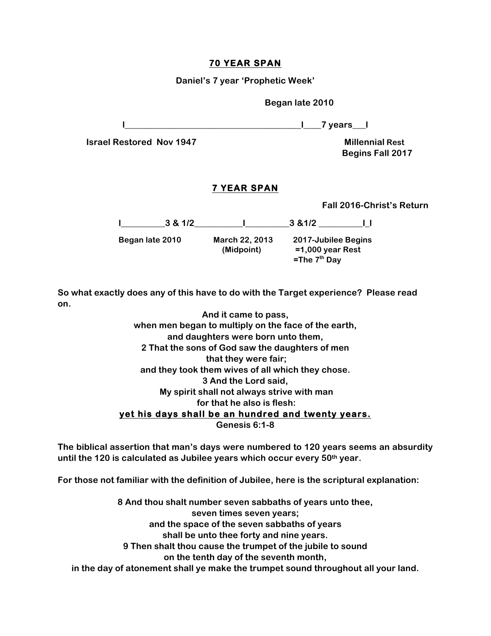## **70 YEAR SPAN**

**Daniel's 7 year 'Prophetic Week'**

 **Began late 2010**

**l\_\_\_\_\_\_\_\_\_\_\_\_\_\_\_\_\_\_\_\_\_\_\_\_\_\_\_\_\_\_\_\_\_\_\_\_\_\_\_\_l\_\_\_\_7 years\_\_\_l**

**Israel Restored Nov 1947 Millennial Rest** 

 **Begins Fall 2017**

#### **7 YEAR SPAN**

 **Fall 2016-Christ's Return**

|                 | 3 & 1/2 |                              | 3 & 1/2                                                        |
|-----------------|---------|------------------------------|----------------------------------------------------------------|
| Began late 2010 |         | March 22, 2013<br>(Midpoint) | 2017-Jubilee Begins<br>$=1,000$ year Rest<br>$=$ The $7th$ Day |

**So what exactly does any of this have to do with the Target experience? Please read on.**

| And it came to pass,                                 |
|------------------------------------------------------|
| when men began to multiply on the face of the earth, |
| and daughters were born unto them,                   |
| 2 That the sons of God saw the daughters of men      |
| that they were fair;                                 |
| and they took them wives of all which they chose.    |
| 3 And the Lord said,                                 |
| My spirit shall not always strive with man           |
| for that he also is flesh:                           |
| yet his days shall be an hundred and twenty years.   |
| Genesis 6:1-8                                        |

**The biblical assertion that man's days were numbered to 120 years seems an absurdity until the 120 is calculated as Jubilee years which occur every 50th year.**

**For those not familiar with the definition of Jubilee, here is the scriptural explanation:**

**8 And thou shalt number seven sabbaths of years unto thee, seven times seven years; and the space of the seven sabbaths of years shall be unto thee forty and nine years. 9 Then shalt thou cause the trumpet of the jubile to sound on the tenth day of the seventh month, in the day of atonement shall ye make the trumpet sound throughout all your land.**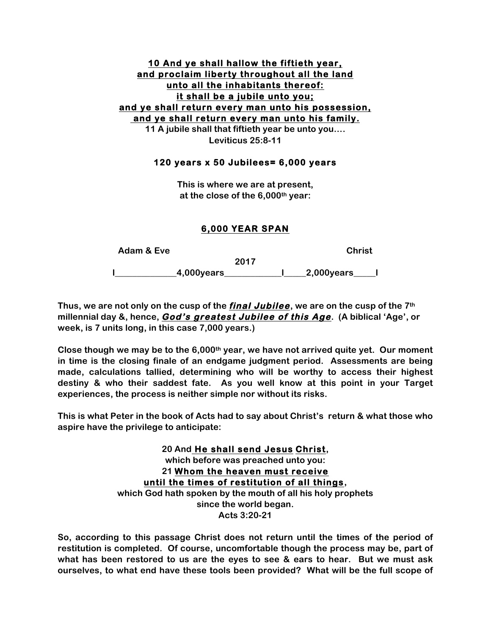## **10 And ye shall hallow the fiftieth year, and proclaim liberty throughout all the land unto all the inhabitants thereof: it shall be a jubile unto you; and ye shall return every man unto his possession, and ye shall return every man unto his family. 11 A jubile shall that fiftieth year be unto you….**

**Leviticus 25:8-11**

#### **120 years x 50 Jubilees= 6,000 years**

**This is where we are at present, at the close of the 6,000th year:**

## **6,000 YEAR SPAN**

| Adam & Eve     | <b>Christ</b>        |
|----------------|----------------------|
|                | 2017                 |
| $.4,000$ years | $\_2,000$ years $\_$ |

**Thus, we are not only on the cusp of the final Jubilee, we are on the cusp of the 7th millennial day &, hence, God's greatest Jubilee of this Age. (A biblical 'Age', or week, is 7 units long, in this case 7,000 years.)** 

**Close though we may be to the 6,000th year, we have not arrived quite yet. Our moment in time is the closing finale of an endgame judgment period. Assessments are being made, calculations tallied, determining who will be worthy to access their highest destiny & who their saddest fate. As you well know at this point in your Target experiences, the process is neither simple nor without its risks.** 

**This is what Peter in the book of Acts had to say about Christ's return & what those who aspire have the privilege to anticipate:**

> **20 And He shall send Jesus Christ, which before was preached unto you: 21 Whom the heaven must receive until the times of restitution of all things, which God hath spoken by the mouth of all his holy prophets since the world began. Acts 3:20-21**

**So, according to this passage Christ does not return until the times of the period of restitution is completed. Of course, uncomfortable though the process may be, part of what has been restored to us are the eyes to see & ears to hear. But we must ask ourselves, to what end have these tools been provided? What will be the full scope of**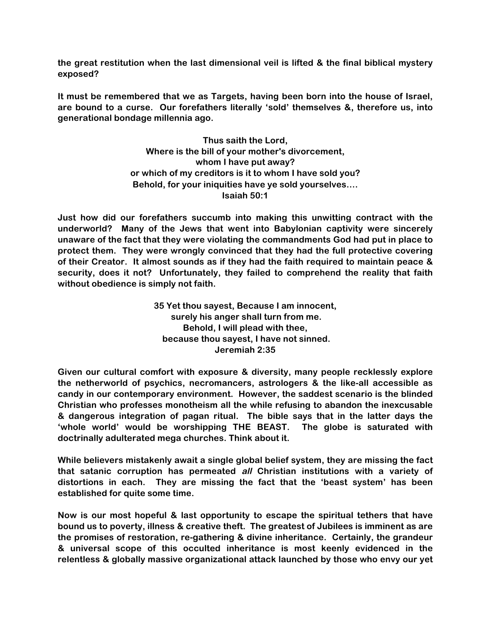**the great restitution when the last dimensional veil is lifted & the final biblical mystery exposed?** 

**It must be remembered that we as Targets, having been born into the house of Israel, are bound to a curse. Our forefathers literally 'sold' themselves &, therefore us, into generational bondage millennia ago.** 

> **Thus saith the Lord, Where is the bill of your mother's divorcement, whom I have put away? or which of my creditors is it to whom I have sold you? Behold, for your iniquities have ye sold yourselves…. Isaiah 50:1**

**Just how did our forefathers succumb into making this unwitting contract with the underworld? Many of the Jews that went into Babylonian captivity were sincerely unaware of the fact that they were violating the commandments God had put in place to protect them. They were wrongly convinced that they had the full protective covering of their Creator. It almost sounds as if they had the faith required to maintain peace & security, does it not? Unfortunately, they failed to comprehend the reality that faith without obedience is simply not faith.** 

> **35 Yet thou sayest, Because I am innocent, surely his anger shall turn from me. Behold, I will plead with thee, because thou sayest, I have not sinned. Jeremiah 2:35**

**Given our cultural comfort with exposure & diversity, many people recklessly explore the netherworld of psychics, necromancers, astrologers & the like-all accessible as candy in our contemporary environment. However, the saddest scenario is the blinded Christian who professes monotheism all the while refusing to abandon the inexcusable & dangerous integration of pagan ritual. The bible says that in the latter days the 'whole world' would be worshipping THE BEAST. The globe is saturated with doctrinally adulterated mega churches. Think about it.** 

**While believers mistakenly await a single global belief system, they are missing the fact that satanic corruption has permeated all Christian institutions with a variety of distortions in each. They are missing the fact that the 'beast system' has been established for quite some time.**

**Now is our most hopeful & last opportunity to escape the spiritual tethers that have bound us to poverty, illness & creative theft. The greatest of Jubilees is imminent as are the promises of restoration, re-gathering & divine inheritance. Certainly, the grandeur & universal scope of this occulted inheritance is most keenly evidenced in the relentless & globally massive organizational attack launched by those who envy our yet**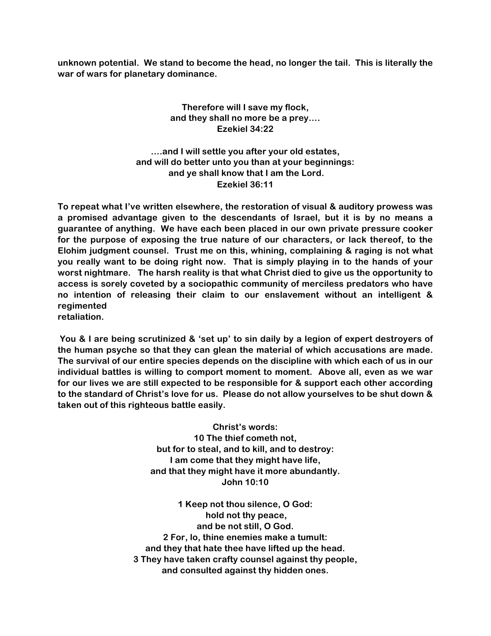**unknown potential. We stand to become the head, no longer the tail. This is literally the war of wars for planetary dominance.**

# **Therefore will I save my flock, and they shall no more be a prey…. Ezekiel 34:22**

**….and I will settle you after your old estates, and will do better unto you than at your beginnings: and ye shall know that I am the Lord. Ezekiel 36:11**

**To repeat what I've written elsewhere, the restoration of visual & auditory prowess was a promised advantage given to the descendants of Israel, but it is by no means a guarantee of anything. We have each been placed in our own private pressure cooker for the purpose of exposing the true nature of our characters, or lack thereof, to the Elohim judgment counsel. Trust me on this, whining, complaining & raging is not what you really want to be doing right now. That is simply playing in to the hands of your worst nightmare. The harsh reality is that what Christ died to give us the opportunity to access is sorely coveted by a sociopathic community of merciless predators who have no intention of releasing their claim to our enslavement without an intelligent & regimented retaliation.** 

**You & I are being scrutinized & 'set up' to sin daily by a legion of expert destroyers of the human psyche so that they can glean the material of which accusations are made. The survival of our entire species depends on the discipline with which each of us in our individual battles is willing to comport moment to moment. Above all, even as we war for our lives we are still expected to be responsible for & support each other according to the standard of Christ's love for us. Please do not allow yourselves to be shut down & taken out of this righteous battle easily.** 

> **Christ's words: 10 The thief cometh not, but for to steal, and to kill, and to destroy: I am come that they might have life, and that they might have it more abundantly. John 10:10**

**1 Keep not thou silence, O God: hold not thy peace, and be not still, O God. 2 For, lo, thine enemies make a tumult: and they that hate thee have lifted up the head. 3 They have taken crafty counsel against thy people, and consulted against thy hidden ones.**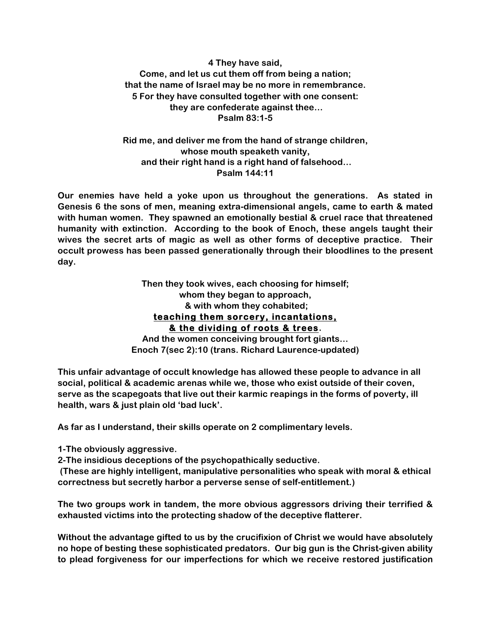**4 They have said, Come, and let us cut them off from being a nation; that the name of Israel may be no more in remembrance. 5 For they have consulted together with one consent: they are confederate against thee… Psalm 83:1-5**

**Rid me, and deliver me from the hand of strange children, whose mouth speaketh vanity, and their right hand is a right hand of falsehood… Psalm 144:11**

**Our enemies have held a yoke upon us throughout the generations. As stated in Genesis 6 the sons of men, meaning extra-dimensional angels, came to earth & mated with human women. They spawned an emotionally bestial & cruel race that threatened humanity with extinction. According to the book of Enoch, these angels taught their wives the secret arts of magic as well as other forms of deceptive practice. Their occult prowess has been passed generationally through their bloodlines to the present day.** 

> **Then they took wives, each choosing for himself; whom they began to approach, & with whom they cohabited; teaching them sorcery, incantations, & the dividing of roots & trees.**

**And the women conceiving brought fort giants… Enoch 7(sec 2):10 (trans. Richard Laurence-updated)**

**This unfair advantage of occult knowledge has allowed these people to advance in all social, political & academic arenas while we, those who exist outside of their coven, serve as the scapegoats that live out their karmic reapings in the forms of poverty, ill health, wars & just plain old 'bad luck'.** 

**As far as I understand, their skills operate on 2 complimentary levels.**

**1-The obviously aggressive.**

**2-The insidious deceptions of the psychopathically seductive.** 

**(These are highly intelligent, manipulative personalities who speak with moral & ethical correctness but secretly harbor a perverse sense of self-entitlement.)**

**The two groups work in tandem, the more obvious aggressors driving their terrified & exhausted victims into the protecting shadow of the deceptive flatterer.**

**Without the advantage gifted to us by the crucifixion of Christ we would have absolutely no hope of besting these sophisticated predators. Our big gun is the Christ-given ability to plead forgiveness for our imperfections for which we receive restored justification**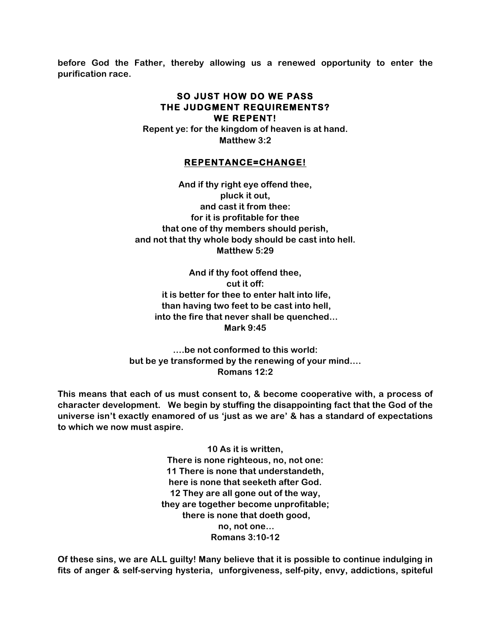**before God the Father, thereby allowing us a renewed opportunity to enter the purification race.** 

#### **SO JUST HOW DO WE PASS THE JUDGMENT REQUIREMENTS? WE REPENT!**

**Repent ye: for the kingdom of heaven is at hand. Matthew 3:2**

## **REPENTANCE=CHANGE!**

**And if thy right eye offend thee, pluck it out, and cast it from thee: for it is profitable for thee that one of thy members should perish, and not that thy whole body should be cast into hell. Matthew 5:29**

**And if thy foot offend thee, cut it off: it is better for thee to enter halt into life, than having two feet to be cast into hell, into the fire that never shall be quenched… Mark 9:45**

**….be not conformed to this world: but be ye transformed by the renewing of your mind…. Romans 12:2**

**This means that each of us must consent to, & become cooperative with, a process of character development. We begin by stuffing the disappointing fact that the God of the universe isn't exactly enamored of us 'just as we are' & has a standard of expectations to which we now must aspire.**

> **10 As it is written, There is none righteous, no, not one: 11 There is none that understandeth, here is none that seeketh after God. 12 They are all gone out of the way, they are together become unprofitable; there is none that doeth good, no, not one… Romans 3:10-12**

**Of these sins, we are ALL guilty! Many believe that it is possible to continue indulging in fits of anger & self-serving hysteria, unforgiveness, self-pity, envy, addictions, spiteful**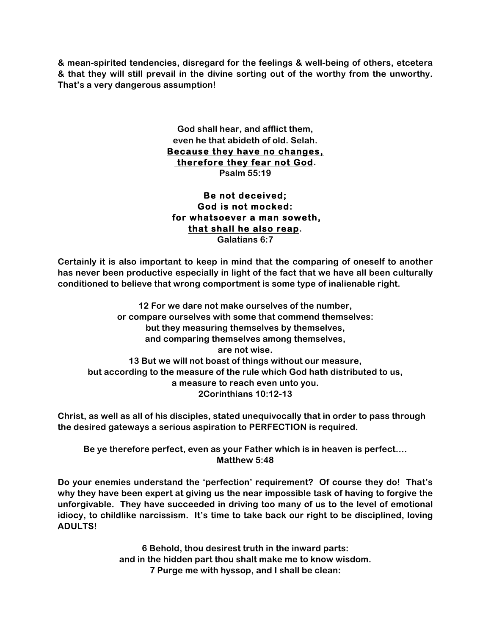**& mean-spirited tendencies, disregard for the feelings & well-being of others, etcetera & that they will still prevail in the divine sorting out of the worthy from the unworthy. That's a very dangerous assumption!**

> **God shall hear, and afflict them, even he that abideth of old. Selah. Because they have no changes, therefore they fear not God. Psalm 55:19**

# **Be not deceived; God is not mocked: for whatsoever a man soweth, that shall he also reap. Galatians 6:7**

**Certainly it is also important to keep in mind that the comparing of oneself to another has never been productive especially in light of the fact that we have all been culturally conditioned to believe that wrong comportment is some type of inalienable right.** 

**12 For we dare not make ourselves of the number, or compare ourselves with some that commend themselves: but they measuring themselves by themselves, and comparing themselves among themselves, are not wise. 13 But we will not boast of things without our measure, but according to the measure of the rule which God hath distributed to us, a measure to reach even unto you. 2Corinthians 10:12-13**

**Christ, as well as all of his disciples, stated unequivocally that in order to pass through the desired gateways a serious aspiration to PERFECTION is required.** 

**Be ye therefore perfect, even as your Father which is in heaven is perfect…. Matthew 5:48**

**Do your enemies understand the 'perfection' requirement? Of course they do! That's why they have been expert at giving us the near impossible task of having to forgive the unforgivable. They have succeeded in driving too many of us to the level of emotional idiocy, to childlike narcissism. It's time to take back our right to be disciplined, loving ADULTS!**

> **6 Behold, thou desirest truth in the inward parts: and in the hidden part thou shalt make me to know wisdom. 7 Purge me with hyssop, and I shall be clean:**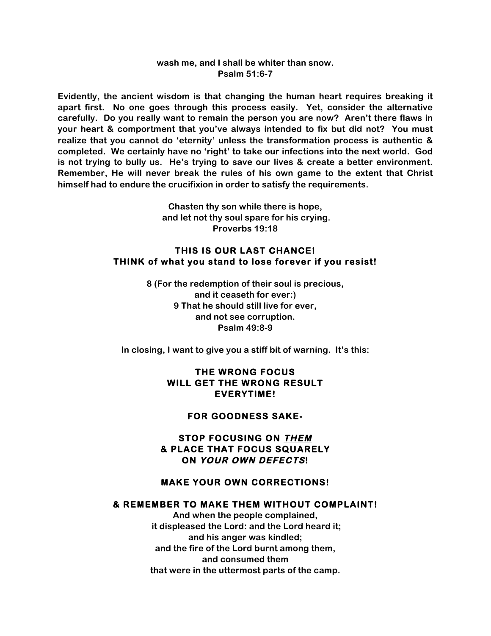#### **wash me, and I shall be whiter than snow. Psalm 51:6-7**

**Evidently, the ancient wisdom is that changing the human heart requires breaking it apart first. No one goes through this process easily. Yet, consider the alternative carefully. Do you really want to remain the person you are now? Aren't there flaws in your heart & comportment that you've always intended to fix but did not? You must realize that you cannot do 'eternity' unless the transformation process is authentic & completed. We certainly have no 'right' to take our infections into the next world. God is not trying to bully us. He's trying to save our lives & create a better environment. Remember, He will never break the rules of his own game to the extent that Christ himself had to endure the crucifixion in order to satisfy the requirements.** 

> **Chasten thy son while there is hope, and let not thy soul spare for his crying. Proverbs 19:18**

### **THIS IS OUR LAST CHANCE! THINK of what you stand to lose forever if you resist!**

**8 (For the redemption of their soul is precious, and it ceaseth for ever:) 9 That he should still live for ever, and not see corruption. Psalm 49:8-9**

**In closing, I want to give you a stiff bit of warning. It's this:**

# **THE WRONG FOCUS WILL GET THE WRONG RESULT EVERYTIME!**

#### **FOR GOODNESS SAKE-**

**STOP FOCUSING ON THEM & PLACE THAT FOCUS SQUARELY ON YOUR OWN DEFECTS!** 

## **MAKE YOUR OWN CORRECTIONS!**

#### **& REMEMBER TO MAKE THEM WITHOUT COMPLAINT!**

**And when the people complained, it displeased the Lord: and the Lord heard it; and his anger was kindled; and the fire of the Lord burnt among them, and consumed them that were in the uttermost parts of the camp.**